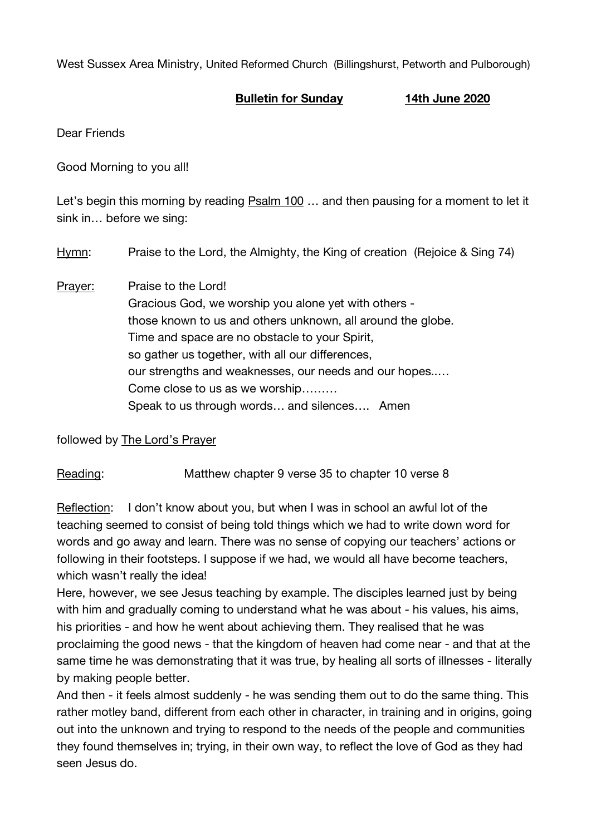West Sussex Area Ministry, United Reformed Church (Billingshurst, Petworth and Pulborough)

## **Bulletin for Sunday 14th June 2020**

Dear Friends

Good Morning to you all!

Let's begin this morning by reading Psalm 100 … and then pausing for a moment to let it sink in… before we sing:

Hymn: Praise to the Lord, the Almighty, the King of creation (Rejoice & Sing 74)

Prayer: Praise to the Lord! Gracious God, we worship you alone yet with others those known to us and others unknown, all around the globe. Time and space are no obstacle to your Spirit, so gather us together, with all our differences. our strengths and weaknesses, our needs and our hopes..… Come close to us as we worship……… Speak to us through words… and silences…. Amen

followed by The Lord's Prayer

Reading: Matthew chapter 9 verse 35 to chapter 10 verse 8

Reflection: I don't know about you, but when I was in school an awful lot of the teaching seemed to consist of being told things which we had to write down word for words and go away and learn. There was no sense of copying our teachers' actions or following in their footsteps. I suppose if we had, we would all have become teachers, which wasn't really the idea!

Here, however, we see Jesus teaching by example. The disciples learned just by being with him and gradually coming to understand what he was about - his values, his aims, his priorities - and how he went about achieving them. They realised that he was proclaiming the good news - that the kingdom of heaven had come near - and that at the same time he was demonstrating that it was true, by healing all sorts of illnesses - literally by making people better.

And then - it feels almost suddenly - he was sending them out to do the same thing. This rather motley band, different from each other in character, in training and in origins, going out into the unknown and trying to respond to the needs of the people and communities they found themselves in; trying, in their own way, to reflect the love of God as they had seen Jesus do.